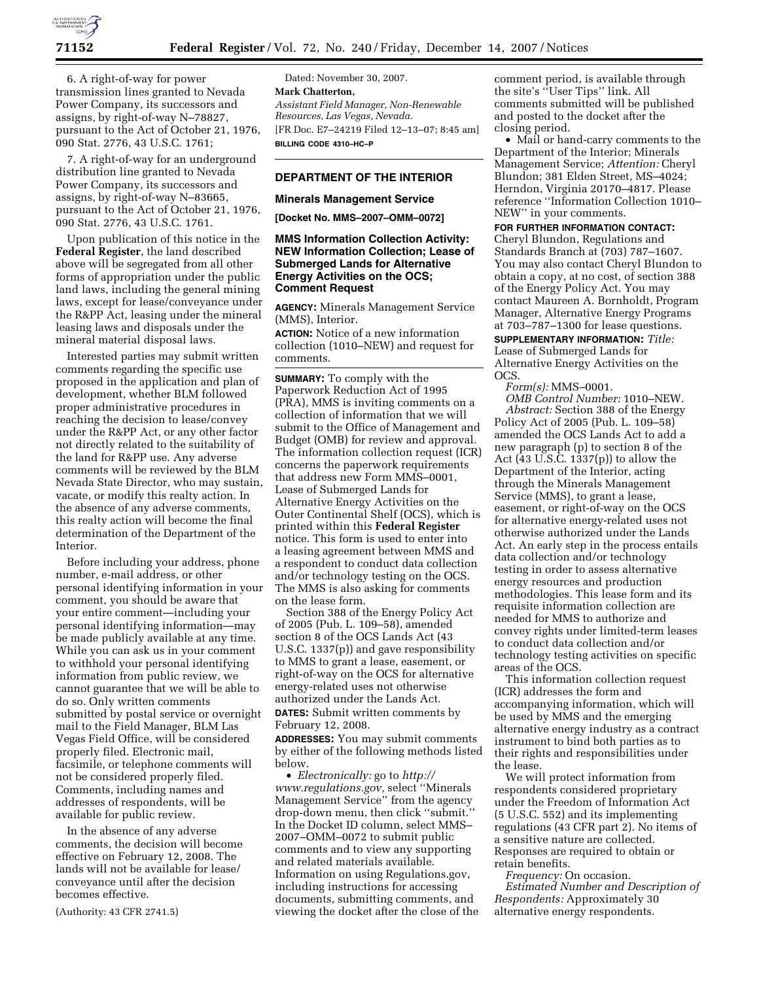

6. A right-of-way for power transmission lines granted to Nevada Power Company, its successors and assigns, by right-of-way N–78827, pursuant to the Act of October 21, 1976, 090 Stat. 2776, 43 U.S.C. 1761;

7. A right-of-way for an underground distribution line granted to Nevada Power Company, its successors and assigns, by right-of-way N–83665, pursuant to the Act of October 21, 1976, 090 Stat. 2776, 43 U.S.C. 1761.

Upon publication of this notice in the **Federal Register**, the land described above will be segregated from all other forms of appropriation under the public land laws, including the general mining laws, except for lease/conveyance under the R&PP Act, leasing under the mineral leasing laws and disposals under the mineral material disposal laws.

Interested parties may submit written comments regarding the specific use proposed in the application and plan of development, whether BLM followed proper administrative procedures in reaching the decision to lease/convey under the R&PP Act, or any other factor not directly related to the suitability of the land for R&PP use. Any adverse comments will be reviewed by the BLM Nevada State Director, who may sustain, vacate, or modify this realty action. In the absence of any adverse comments, this realty action will become the final determination of the Department of the Interior.

Before including your address, phone number, e-mail address, or other personal identifying information in your comment, you should be aware that your entire comment—including your personal identifying information—may be made publicly available at any time. While you can ask us in your comment to withhold your personal identifying information from public review, we cannot guarantee that we will be able to do so. Only written comments submitted by postal service or overnight mail to the Field Manager, BLM Las Vegas Field Office, will be considered properly filed. Electronic mail, facsimile, or telephone comments will not be considered properly filed. Comments, including names and addresses of respondents, will be available for public review.

In the absence of any adverse comments, the decision will become effective on February 12, 2008. The lands will not be available for lease/ conveyance until after the decision becomes effective.

(Authority: 43 CFR 2741.5)

Dated: November 30, 2007. **Mark Chatterton,**  *Assistant Field Manager, Non-Renewable Resources, Las Vegas, Nevada.*  [FR Doc. E7–24219 Filed 12–13–07; 8:45 am] **BILLING CODE 4310–HC–P** 

## **DEPARTMENT OF THE INTERIOR**

#### **Minerals Management Service**

**[Docket No. MMS–2007–OMM–0072]** 

### **MMS Information Collection Activity: NEW Information Collection; Lease of Submerged Lands for Alternative Energy Activities on the OCS; Comment Request**

**AGENCY:** Minerals Management Service (MMS), Interior.

**ACTION:** Notice of a new information collection (1010–NEW) and request for comments.

**SUMMARY:** To comply with the Paperwork Reduction Act of 1995 (PRA), MMS is inviting comments on a collection of information that we will submit to the Office of Management and Budget (OMB) for review and approval. The information collection request (ICR) concerns the paperwork requirements that address new Form MMS–0001, Lease of Submerged Lands for Alternative Energy Activities on the Outer Continental Shelf (OCS), which is printed within this **Federal Register**  notice. This form is used to enter into a leasing agreement between MMS and a respondent to conduct data collection and/or technology testing on the OCS. The MMS is also asking for comments on the lease form.

Section 388 of the Energy Policy Act of 2005 (Pub. L. 109–58), amended section 8 of the OCS Lands Act (43 U.S.C. 1337(p)) and gave responsibility to MMS to grant a lease, easement, or right-of-way on the OCS for alternative energy-related uses not otherwise authorized under the Lands Act. **DATES:** Submit written comments by February 12, 2008.

**ADDRESSES:** You may submit comments by either of the following methods listed below.

• *Electronically:* go to *http:// www.regulations.gov,* select ''Minerals Management Service'' from the agency drop-down menu, then click ''submit.'' In the Docket ID column, select MMS– 2007–OMM–0072 to submit public comments and to view any supporting and related materials available. Information on using Regulations.gov, including instructions for accessing documents, submitting comments, and viewing the docket after the close of the comment period, is available through the site's ''User Tips'' link. All comments submitted will be published and posted to the docket after the closing period.

• Mail or hand-carry comments to the Department of the Interior; Minerals Management Service; *Attention:* Cheryl Blundon; 381 Elden Street, MS–4024; Herndon, Virginia 20170–4817. Please reference ''Information Collection 1010– NEW'' in your comments.

**FOR FURTHER INFORMATION CONTACT:** 

Cheryl Blundon, Regulations and Standards Branch at (703) 787–1607. You may also contact Cheryl Blundon to obtain a copy, at no cost, of section 388 of the Energy Policy Act. You may contact Maureen A. Bornholdt, Program Manager, Alternative Energy Programs at 703–787–1300 for lease questions.

**SUPPLEMENTARY INFORMATION:** *Title:*  Lease of Submerged Lands for Alternative Energy Activities on the OCS.

*Form(s):* MMS–0001.

*OMB Control Number:* 1010–NEW. *Abstract:* Section 388 of the Energy Policy Act of 2005 (Pub. L. 109–58) amended the OCS Lands Act to add a new paragraph (p) to section 8 of the Act (43 U.S.C. 1337(p)) to allow the Department of the Interior, acting through the Minerals Management Service (MMS), to grant a lease, easement, or right-of-way on the OCS for alternative energy-related uses not otherwise authorized under the Lands Act. An early step in the process entails data collection and/or technology testing in order to assess alternative energy resources and production methodologies. This lease form and its requisite information collection are needed for MMS to authorize and convey rights under limited-term leases to conduct data collection and/or technology testing activities on specific areas of the OCS.

This information collection request (ICR) addresses the form and accompanying information, which will be used by MMS and the emerging alternative energy industry as a contract instrument to bind both parties as to their rights and responsibilities under the lease.

We will protect information from respondents considered proprietary under the Freedom of Information Act (5 U.S.C. 552) and its implementing regulations (43 CFR part 2). No items of a sensitive nature are collected. Responses are required to obtain or retain benefits.

*Frequency:* On occasion. *Estimated Number and Description of Respondents:* Approximately 30 alternative energy respondents.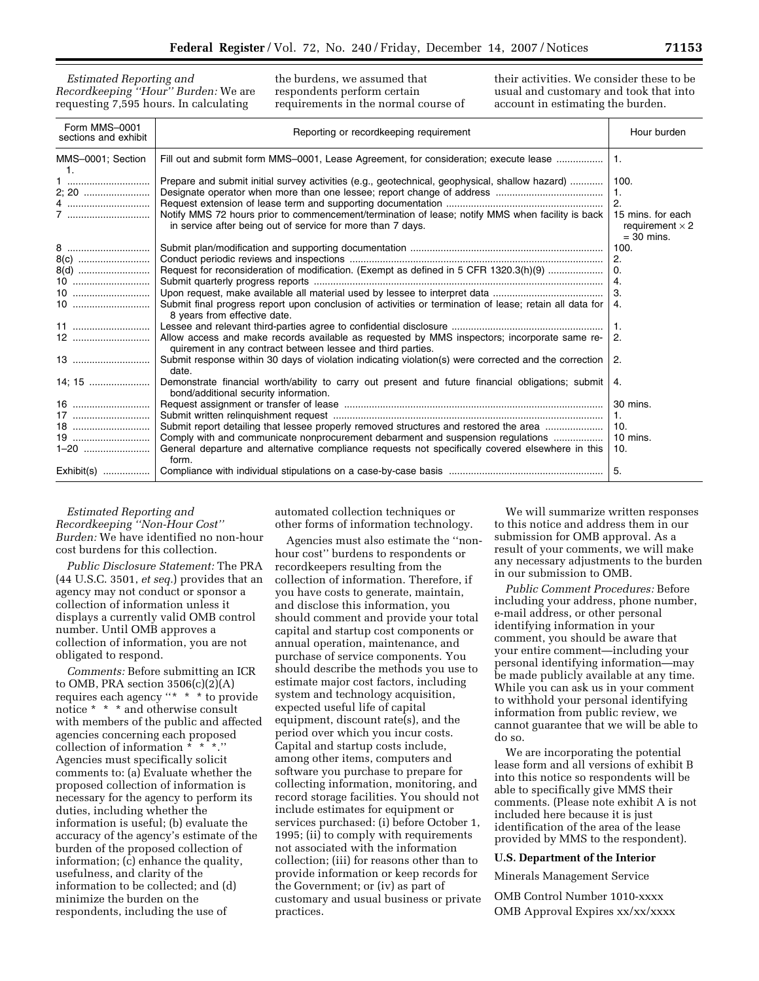*Estimated Reporting and Recordkeeping ''Hour'' Burden:* We are requesting 7,595 hours. In calculating

the burdens, we assumed that respondents perform certain requirements in the normal course of their activities. We consider these to be usual and customary and took that into account in estimating the burden.

| Form MMS-0001<br>sections and exhibit | Reporting or recordkeeping requirement                                                                                                                          | Hour burden                                                 |
|---------------------------------------|-----------------------------------------------------------------------------------------------------------------------------------------------------------------|-------------------------------------------------------------|
| MMS-0001; Section                     | Fill out and submit form MMS-0001, Lease Agreement, for consideration; execute lease                                                                            | $\mathbf{1}$ .                                              |
|                                       |                                                                                                                                                                 |                                                             |
| 1                                     | Prepare and submit initial survey activities (e.g., geotechnical, geophysical, shallow hazard)                                                                  | 100.                                                        |
| 2; 20                                 |                                                                                                                                                                 | $\mathbf{1}$ .                                              |
| 4                                     |                                                                                                                                                                 | $\overline{2}$ .                                            |
| 7                                     | Notify MMS 72 hours prior to commencement/termination of lease; notify MMS when facility is back<br>in service after being out of service for more than 7 days. | 15 mins, for each<br>requirement $\times$ 2<br>$=$ 30 mins. |
|                                       |                                                                                                                                                                 | 100.                                                        |
| 8(c)                                  |                                                                                                                                                                 | 2.                                                          |
| 8(d)                                  | Request for reconsideration of modification. (Exempt as defined in 5 CFR 1320.3(h)(9)                                                                           | $\Omega$ .                                                  |
|                                       |                                                                                                                                                                 | 4.                                                          |
|                                       |                                                                                                                                                                 | 3.                                                          |
|                                       | Submit final progress report upon conclusion of activities or termination of lease; retain all data for<br>8 years from effective date.                         | 4.                                                          |
|                                       |                                                                                                                                                                 | $\mathbf{1}$ .                                              |
|                                       | Allow access and make records available as requested by MMS inspectors; incorporate same re-<br>quirement in any contract between lessee and third parties.     | 2.                                                          |
| 13                                    | Submit response within 30 days of violation indicating violation(s) were corrected and the correction<br>date.                                                  | 2.                                                          |
| 14; 15                                | Demonstrate financial worth/ability to carry out present and future financial obligations; submit<br>bond/additional security information.                      | 4.                                                          |
|                                       |                                                                                                                                                                 | 30 mins.                                                    |
|                                       |                                                                                                                                                                 | $\mathbf{1}$ .                                              |
| 18                                    | Submit report detailing that lessee properly removed structures and restored the area                                                                           | 10.                                                         |
|                                       | Comply with and communicate nonprocurement debarment and suspension regulations                                                                                 | 10 mins.                                                    |
|                                       | General departure and alternative compliance requests not specifically covered elsewhere in this<br>form.                                                       | 10.                                                         |
|                                       |                                                                                                                                                                 | 5.                                                          |

## *Estimated Reporting and Recordkeeping ''Non-Hour Cost'' Burden:* We have identified no non-hour cost burdens for this collection.

*Public Disclosure Statement:* The PRA (44 U.S.C. 3501, *et seq.*) provides that an agency may not conduct or sponsor a collection of information unless it displays a currently valid OMB control number. Until OMB approves a collection of information, you are not obligated to respond.

*Comments:* Before submitting an ICR to OMB, PRA section  $3506(c)(2)(A)$ requires each agency ''\* \* \* to provide notice \* \* \* and otherwise consult with members of the public and affected agencies concerning each proposed collection of information \* \* \*.'' Agencies must specifically solicit comments to: (a) Evaluate whether the proposed collection of information is necessary for the agency to perform its duties, including whether the information is useful; (b) evaluate the accuracy of the agency's estimate of the burden of the proposed collection of information; (c) enhance the quality, usefulness, and clarity of the information to be collected; and (d) minimize the burden on the respondents, including the use of

automated collection techniques or other forms of information technology.

Agencies must also estimate the ''nonhour cost'' burdens to respondents or recordkeepers resulting from the collection of information. Therefore, if you have costs to generate, maintain, and disclose this information, you should comment and provide your total capital and startup cost components or annual operation, maintenance, and purchase of service components. You should describe the methods you use to estimate major cost factors, including system and technology acquisition, expected useful life of capital equipment, discount rate(s), and the period over which you incur costs. Capital and startup costs include, among other items, computers and software you purchase to prepare for collecting information, monitoring, and record storage facilities. You should not include estimates for equipment or services purchased: (i) before October 1, 1995; (ii) to comply with requirements not associated with the information collection; (iii) for reasons other than to provide information or keep records for the Government; or (iv) as part of customary and usual business or private practices.

We will summarize written responses to this notice and address them in our submission for OMB approval. As a result of your comments, we will make any necessary adjustments to the burden in our submission to OMB.

*Public Comment Procedures:* Before including your address, phone number, e-mail address, or other personal identifying information in your comment, you should be aware that your entire comment—including your personal identifying information—may be made publicly available at any time. While you can ask us in your comment to withhold your personal identifying information from public review, we cannot guarantee that we will be able to do so.

We are incorporating the potential lease form and all versions of exhibit B into this notice so respondents will be able to specifically give MMS their comments. (Please note exhibit A is not included here because it is just identification of the area of the lease provided by MMS to the respondent).

### **U.S. Department of the Interior**

Minerals Management Service

OMB Control Number 1010-xxxx OMB Approval Expires xx/xx/xxxx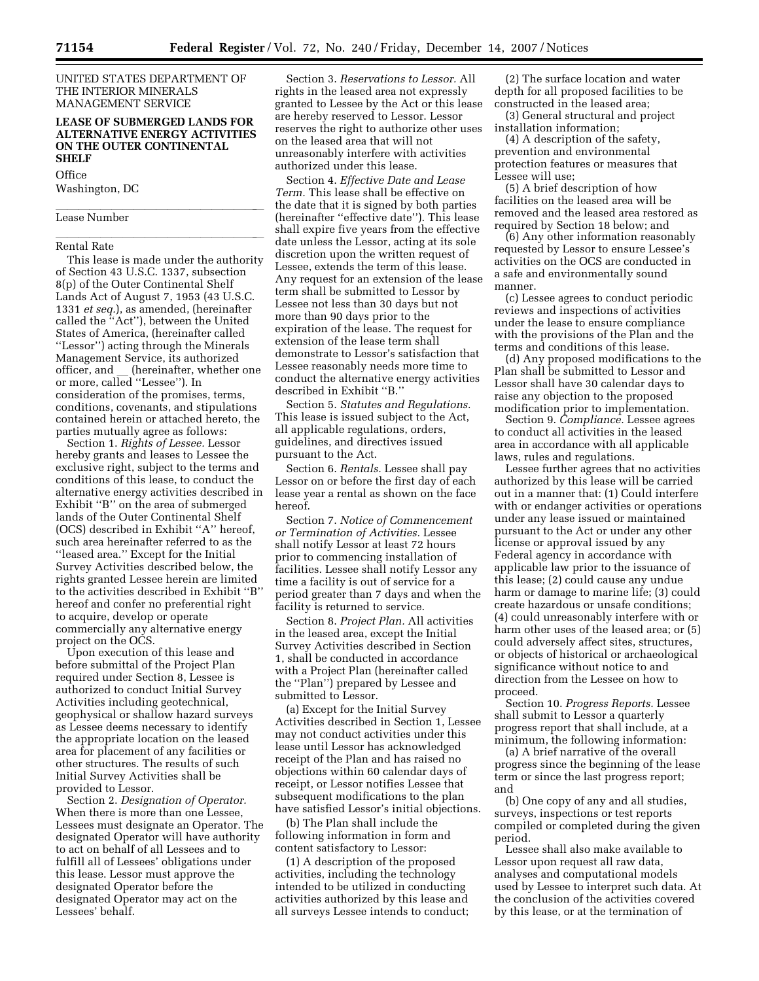UNITED STATES DEPARTMENT OF THE INTERIOR MINERALS MANAGEMENT SERVICE

## **LEASE OF SUBMERGED LANDS FOR ALTERNATIVE ENERGY ACTIVITIES ON THE OUTER CONTINENTAL SHELF**

#### **Office**

Washington, DC

# Lease Number

# Rental Rate

This lease is made under the authority of Section 43 U.S.C. 1337, subsection 8(p) of the Outer Continental Shelf Lands Act of August 7, 1953 (43 U.S.C. 1331 *et seq.*), as amended, (hereinafter called the ''Act''), between the United States of America, (hereinafter called ''Lessor'') acting through the Minerals Management Service, its authorized officer, and \_ (hereinafter, whether one<br>or more, called ''Lessee''). In consideration of the promises, terms, conditions, covenants, and stipulations contained herein or attached hereto, the parties mutually agree as follows:

Section 1. *Rights of Lessee.* Lessor hereby grants and leases to Lessee the exclusive right, subject to the terms and conditions of this lease, to conduct the alternative energy activities described in Exhibit ''B'' on the area of submerged lands of the Outer Continental Shelf (OCS) described in Exhibit ''A'' hereof, such area hereinafter referred to as the ''leased area.'' Except for the Initial Survey Activities described below, the rights granted Lessee herein are limited to the activities described in Exhibit ''B'' hereof and confer no preferential right to acquire, develop or operate commercially any alternative energy project on the OCS.

Upon execution of this lease and before submittal of the Project Plan required under Section 8, Lessee is authorized to conduct Initial Survey Activities including geotechnical, geophysical or shallow hazard surveys as Lessee deems necessary to identify the appropriate location on the leased area for placement of any facilities or other structures. The results of such Initial Survey Activities shall be provided to Lessor.

Section 2. *Designation of Operator.*  When there is more than one Lessee, Lessees must designate an Operator. The designated Operator will have authority to act on behalf of all Lessees and to fulfill all of Lessees' obligations under this lease. Lessor must approve the designated Operator before the designated Operator may act on the Lessees' behalf.

Section 3. *Reservations to Lessor.* All rights in the leased area not expressly granted to Lessee by the Act or this lease are hereby reserved to Lessor. Lessor reserves the right to authorize other uses on the leased area that will not unreasonably interfere with activities authorized under this lease.

Section 4. *Effective Date and Lease Term.* This lease shall be effective on the date that it is signed by both parties (hereinafter ''effective date''). This lease shall expire five years from the effective date unless the Lessor, acting at its sole discretion upon the written request of Lessee, extends the term of this lease. Any request for an extension of the lease term shall be submitted to Lessor by Lessee not less than 30 days but not more than 90 days prior to the expiration of the lease. The request for extension of the lease term shall demonstrate to Lessor's satisfaction that Lessee reasonably needs more time to conduct the alternative energy activities described in Exhibit ''B.''

Section 5. *Statutes and Regulations.*  This lease is issued subject to the Act, all applicable regulations, orders, guidelines, and directives issued pursuant to the Act.

Section 6. *Rentals.* Lessee shall pay Lessor on or before the first day of each lease year a rental as shown on the face hereof.

Section 7. *Notice of Commencement or Termination of Activities.* Lessee shall notify Lessor at least 72 hours prior to commencing installation of facilities. Lessee shall notify Lessor any time a facility is out of service for a period greater than 7 days and when the facility is returned to service.

Section 8. *Project Plan.* All activities in the leased area, except the Initial Survey Activities described in Section 1, shall be conducted in accordance with a Project Plan (hereinafter called the ''Plan'') prepared by Lessee and submitted to Lessor.

(a) Except for the Initial Survey Activities described in Section 1, Lessee may not conduct activities under this lease until Lessor has acknowledged receipt of the Plan and has raised no objections within 60 calendar days of receipt, or Lessor notifies Lessee that subsequent modifications to the plan have satisfied Lessor's initial objections.

(b) The Plan shall include the following information in form and content satisfactory to Lessor:

(1) A description of the proposed activities, including the technology intended to be utilized in conducting activities authorized by this lease and all surveys Lessee intends to conduct;

(2) The surface location and water depth for all proposed facilities to be constructed in the leased area;

(3) General structural and project installation information;

(4) A description of the safety, prevention and environmental protection features or measures that Lessee will use;

(5) A brief description of how facilities on the leased area will be removed and the leased area restored as required by Section 18 below; and

(6) Any other information reasonably requested by Lessor to ensure Lessee's activities on the OCS are conducted in a safe and environmentally sound manner.

(c) Lessee agrees to conduct periodic reviews and inspections of activities under the lease to ensure compliance with the provisions of the Plan and the terms and conditions of this lease.

(d) Any proposed modifications to the Plan shall be submitted to Lessor and Lessor shall have 30 calendar days to raise any objection to the proposed modification prior to implementation.

Section 9. *Compliance.* Lessee agrees to conduct all activities in the leased area in accordance with all applicable laws, rules and regulations.

Lessee further agrees that no activities authorized by this lease will be carried out in a manner that: (1) Could interfere with or endanger activities or operations under any lease issued or maintained pursuant to the Act or under any other license or approval issued by any Federal agency in accordance with applicable law prior to the issuance of this lease; (2) could cause any undue harm or damage to marine life; (3) could create hazardous or unsafe conditions; (4) could unreasonably interfere with or harm other uses of the leased area; or (5) could adversely affect sites, structures, or objects of historical or archaeological significance without notice to and direction from the Lessee on how to proceed.

Section 10. *Progress Reports.* Lessee shall submit to Lessor a quarterly progress report that shall include, at a minimum, the following information:

(a) A brief narrative of the overall progress since the beginning of the lease term or since the last progress report; and

(b) One copy of any and all studies, surveys, inspections or test reports compiled or completed during the given period.

Lessee shall also make available to Lessor upon request all raw data, analyses and computational models used by Lessee to interpret such data. At the conclusion of the activities covered by this lease, or at the termination of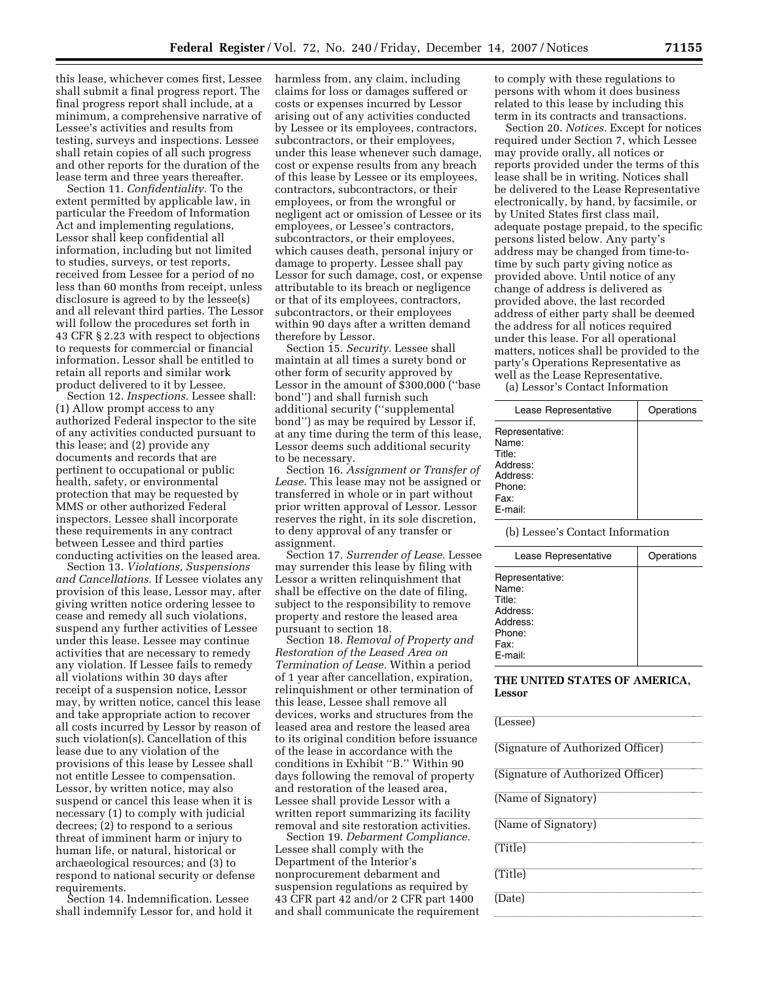this lease, whichever comes first, Lessee shall submit a final progress report. The final progress report shall include, at a minimum, a comprehensive narrative of Lessee's activities and results from testing, surveys and inspections. Lessee shall retain copies of all such progress and other reports for the duration of the lease term and three years thereafter.

Section 11. *Confidentiality.* To the extent permitted by applicable law, in particular the Freedom of Information Act and implementing regulations, Lessor shall keep confidential all information, including but not limited to studies, surveys, or test reports, received from Lessee for a period of no less than 60 months from receipt, unless disclosure is agreed to by the lessee(s) and all relevant third parties. The Lessor will follow the procedures set forth in 43 CFR § 2.23 with respect to objections to requests for commercial or financial information. Lessor shall be entitled to retain all reports and similar work product delivered to it by Lessee.

Section 12. *Inspections.* Lessee shall: (1) Allow prompt access to any authorized Federal inspector to the site of any activities conducted pursuant to this lease; and (2) provide any documents and records that are pertinent to occupational or public health, safety, or environmental protection that may be requested by MMS or other authorized Federal inspectors. Lessee shall incorporate these requirements in any contract between Lessee and third parties conducting activities on the leased area.

Section 13. *Violations, Suspensions and Cancellations.* If Lessee violates any provision of this lease, Lessor may, after giving written notice ordering lessee to cease and remedy all such violations, suspend any further activities of Lessee under this lease. Lessee may continue activities that are necessary to remedy any violation. If Lessee fails to remedy all violations within 30 days after receipt of a suspension notice, Lessor may, by written notice, cancel this lease and take appropriate action to recover all costs incurred by Lessor by reason of such violation(s). Cancellation of this lease due to any violation of the provisions of this lease by Lessee shall not entitle Lessee to compensation. Lessor, by written notice, may also suspend or cancel this lease when it is necessary (1) to comply with judicial decrees; (2) to respond to a serious threat of imminent harm or injury to human life, or natural, historical or archaeological resources; and (3) to respond to national security or defense requirements.

Section 14. Indemnification. Lessee shall indemnify Lessor for, and hold it

harmless from, any claim, including claims for loss or damages suffered or costs or expenses incurred by Lessor arising out of any activities conducted by Lessee or its employees, contractors, subcontractors, or their employees, under this lease whenever such damage, cost or expense results from any breach of this lease by Lessee or its employees, contractors, subcontractors, or their employees, or from the wrongful or negligent act or omission of Lessee or its employees, or Lessee's contractors, subcontractors, or their employees, which causes death, personal injury or damage to property. Lessee shall pay Lessor for such damage, cost, or expense attributable to its breach or negligence or that of its employees, contractors, subcontractors, or their employees within 90 days after a written demand therefore by Lessor.

Section 15. *Security.* Lessee shall maintain at all times a surety bond or other form of security approved by Lessor in the amount of \$300,000 (''base bond'') and shall furnish such additional security (''supplemental bond'') as may be required by Lessor if, at any time during the term of this lease, Lessor deems such additional security to be necessary.

Section 16. *Assignment or Transfer of Lease.* This lease may not be assigned or transferred in whole or in part without prior written approval of Lessor. Lessor reserves the right, in its sole discretion, to deny approval of any transfer or assignment.

Section 17. *Surrender of Lease.* Lessee may surrender this lease by filing with Lessor a written relinquishment that shall be effective on the date of filing, subject to the responsibility to remove property and restore the leased area pursuant to section 18.

Section 18. *Removal of Property and Restoration of the Leased Area on Termination of Lease.* Within a period of 1 year after cancellation, expiration, relinquishment or other termination of this lease, Lessee shall remove all devices, works and structures from the leased area and restore the leased area to its original condition before issuance of the lease in accordance with the conditions in Exhibit ''B.'' Within 90 days following the removal of property and restoration of the leased area, Lessee shall provide Lessor with a written report summarizing its facility removal and site restoration activities.

Section 19. *Debarment Compliance.*  Lessee shall comply with the Department of the Interior's nonprocurement debarment and suspension regulations as required by 43 CFR part 42 and/or 2 CFR part 1400 and shall communicate the requirement to comply with these regulations to persons with whom it does business related to this lease by including this term in its contracts and transactions.

Section 20. *Notices.* Except for notices required under Section 7, which Lessee may provide orally, all notices or reports provided under the terms of this lease shall be in writing. Notices shall be delivered to the Lease Representative electronically, by hand, by facsimile, or by United States first class mail, adequate postage prepaid, to the specific persons listed below. Any party's address may be changed from time-totime by such party giving notice as provided above. Until notice of any change of address is delivered as provided above, the last recorded address of either party shall be deemed the address for all notices required under this lease. For all operational matters, notices shall be provided to the party's Operations Representative as well as the Lease Representative.

(a) Lessor's Contact Information

| Lease Representative                                                                    | Operations |
|-----------------------------------------------------------------------------------------|------------|
| Representative:<br>Name:<br>Title:<br>Address:<br>Address:<br>Phone:<br>Fax:<br>E-mail: |            |

(b) Lessee's Contact Information

| Lease Representative                                                                    | Operations |
|-----------------------------------------------------------------------------------------|------------|
| Representative:<br>Name:<br>Title:<br>Address:<br>Address:<br>Phone:<br>Fax:<br>E-mail: |            |

## **THE UNITED STATES OF AMERICA, Lessor**

| (Lessee)                          |
|-----------------------------------|
| (Signature of Authorized Officer) |
| (Signature of Authorized Officer) |
| (Name of Signatory)               |
| (Name of Signatory)               |
| (Title)                           |
| (Title)                           |
| (Date)                            |

lla llight and the second control of the second control of the second control of the second control of the second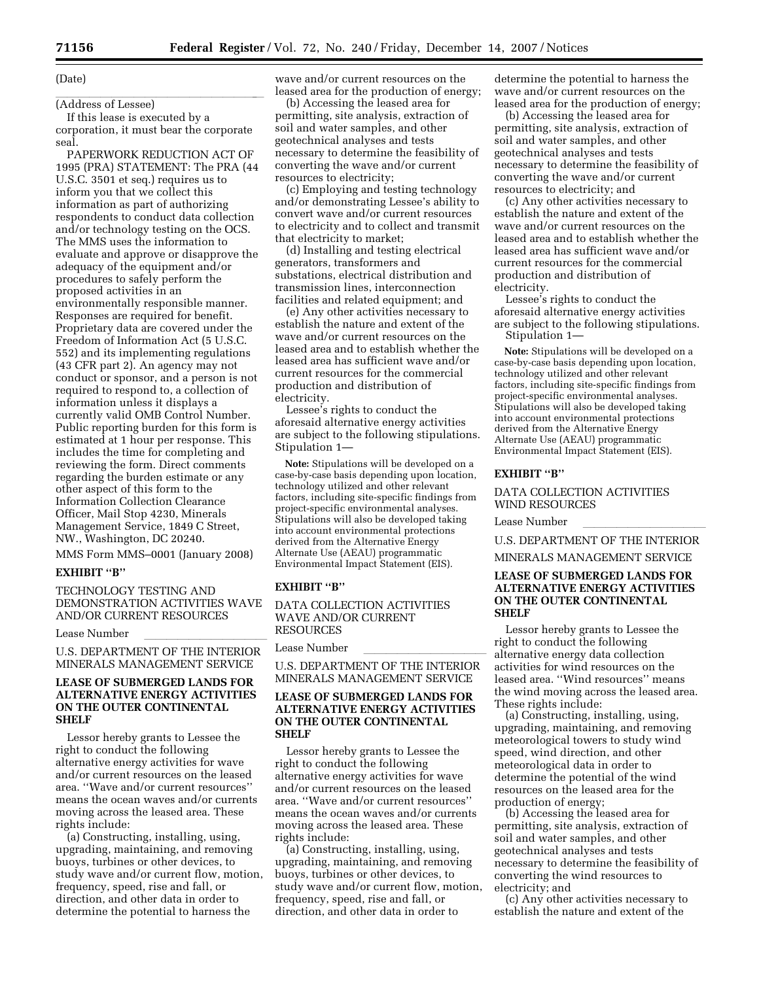#### (Date)

# (Address of Lessee)

If this lease is executed by a corporation, it must bear the corporate seal.

PAPERWORK REDUCTION ACT OF 1995 (PRA) STATEMENT: The PRA (44 U.S.C. 3501 et seq.) requires us to inform you that we collect this information as part of authorizing respondents to conduct data collection and/or technology testing on the OCS. The MMS uses the information to evaluate and approve or disapprove the adequacy of the equipment and/or procedures to safely perform the proposed activities in an environmentally responsible manner. Responses are required for benefit. Proprietary data are covered under the Freedom of Information Act (5 U.S.C. 552) and its implementing regulations (43 CFR part 2). An agency may not conduct or sponsor, and a person is not required to respond to, a collection of information unless it displays a currently valid OMB Control Number. Public reporting burden for this form is estimated at 1 hour per response. This includes the time for completing and reviewing the form. Direct comments regarding the burden estimate or any other aspect of this form to the Information Collection Clearance Officer, Mail Stop 4230, Minerals Management Service, 1849 C Street, NW., Washington, DC 20240.

MMS Form MMS–0001 (January 2008)

## **EXHIBIT ''B''**

TECHNOLOGY TESTING AND DEMONSTRATION ACTIVITIES WAVE AND/OR CURRENT RESOURCES

#### Lease Number

U.S. DEPARTMENT OF THE INTERIOR MINERALS MANAGEMENT SERVICE

## **LEASE OF SUBMERGED LANDS FOR ALTERNATIVE ENERGY ACTIVITIES ON THE OUTER CONTINENTAL SHELF**

Lessor hereby grants to Lessee the right to conduct the following alternative energy activities for wave and/or current resources on the leased area. ''Wave and/or current resources'' means the ocean waves and/or currents moving across the leased area. These rights include:

(a) Constructing, installing, using, upgrading, maintaining, and removing buoys, turbines or other devices, to study wave and/or current flow, motion, frequency, speed, rise and fall, or direction, and other data in order to determine the potential to harness the

wave and/or current resources on the leased area for the production of energy;

(b) Accessing the leased area for permitting, site analysis, extraction of soil and water samples, and other geotechnical analyses and tests necessary to determine the feasibility of converting the wave and/or current resources to electricity;

(c) Employing and testing technology and/or demonstrating Lessee's ability to convert wave and/or current resources to electricity and to collect and transmit that electricity to market;

(d) Installing and testing electrical generators, transformers and substations, electrical distribution and transmission lines, interconnection facilities and related equipment; and

(e) Any other activities necessary to establish the nature and extent of the wave and/or current resources on the leased area and to establish whether the leased area has sufficient wave and/or current resources for the commercial production and distribution of electricity.

Lessee's rights to conduct the aforesaid alternative energy activities are subject to the following stipulations. Stipulation 1—

**Note:** Stipulations will be developed on a case-by-case basis depending upon location, technology utilized and other relevant factors, including site-specific findings from project-specific environmental analyses. Stipulations will also be developed taking into account environmental protections derived from the Alternative Energy Alternate Use (AEAU) programmatic Environmental Impact Statement (EIS).

## **EXHIBIT ''B''**

DATA COLLECTION ACTIVITIES WAVE AND/OR CURRENT RESOURCES

#### Lease Number

U.S. DEPARTMENT OF THE INTERIOR MINERALS MANAGEMENT SERVICE

### **LEASE OF SUBMERGED LANDS FOR ALTERNATIVE ENERGY ACTIVITIES ON THE OUTER CONTINENTAL SHELF**

Lessor hereby grants to Lessee the right to conduct the following alternative energy activities for wave and/or current resources on the leased area. ''Wave and/or current resources'' means the ocean waves and/or currents moving across the leased area. These rights include:

(a) Constructing, installing, using, upgrading, maintaining, and removing buoys, turbines or other devices, to study wave and/or current flow, motion, frequency, speed, rise and fall, or direction, and other data in order to

determine the potential to harness the wave and/or current resources on the leased area for the production of energy;

(b) Accessing the leased area for permitting, site analysis, extraction of soil and water samples, and other geotechnical analyses and tests necessary to determine the feasibility of converting the wave and/or current resources to electricity; and

(c) Any other activities necessary to establish the nature and extent of the wave and/or current resources on the leased area and to establish whether the leased area has sufficient wave and/or current resources for the commercial production and distribution of electricity.

Lessee's rights to conduct the aforesaid alternative energy activities are subject to the following stipulations. Stipulation 1—

**Note:** Stipulations will be developed on a case-by-case basis depending upon location, technology utilized and other relevant factors, including site-specific findings from project-specific environmental analyses. Stipulations will also be developed taking into account environmental protections derived from the Alternative Energy Alternate Use (AEAU) programmatic Environmental Impact Statement (EIS).

#### **EXHIBIT ''B''**

### DATA COLLECTION ACTIVITIES WIND RESOURCES

Lease Number **in the control of the control limits of the control of the control of the control of the control of the control of the control of the control of the control of the control of the control of the control of the** 

U.S. DEPARTMENT OF THE INTERIOR

# MINERALS MANAGEMENT SERVICE

## **LEASE OF SUBMERGED LANDS FOR ALTERNATIVE ENERGY ACTIVITIES ON THE OUTER CONTINENTAL SHELF**

Lessor hereby grants to Lessee the right to conduct the following alternative energy data collection activities for wind resources on the leased area. ''Wind resources'' means the wind moving across the leased area. These rights include:

(a) Constructing, installing, using, upgrading, maintaining, and removing meteorological towers to study wind speed, wind direction, and other meteorological data in order to determine the potential of the wind resources on the leased area for the production of energy;

(b) Accessing the leased area for permitting, site analysis, extraction of soil and water samples, and other geotechnical analyses and tests necessary to determine the feasibility of converting the wind resources to electricity; and

(c) Any other activities necessary to establish the nature and extent of the